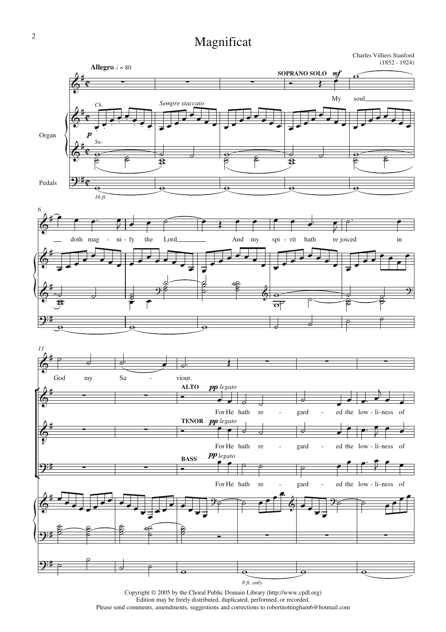## Magnificat

Charles Villiers Stanford



Copyright © 2005 by the Choral Public Domain Library (http://www.cpdl.org) Edition may be freely distributed, duplicated, performed, or recorded. Please send comments, amendments, suggestions and corrections to robertnottingham6@hotmail.com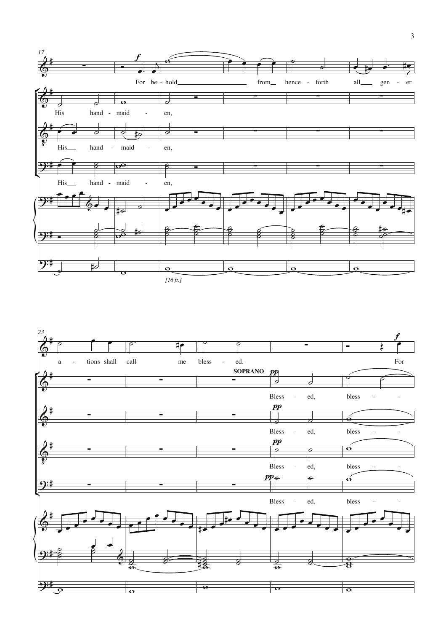

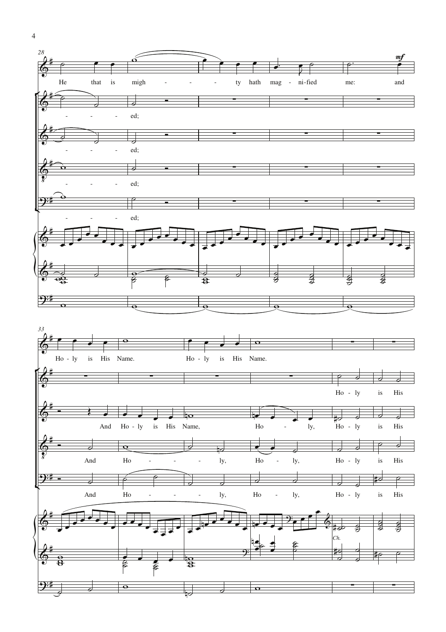

 $\overline{4}$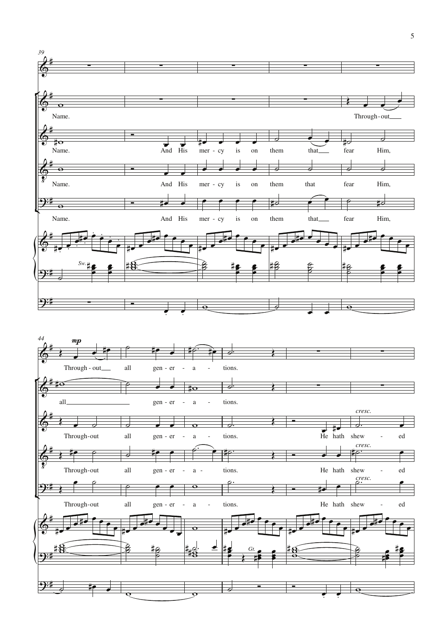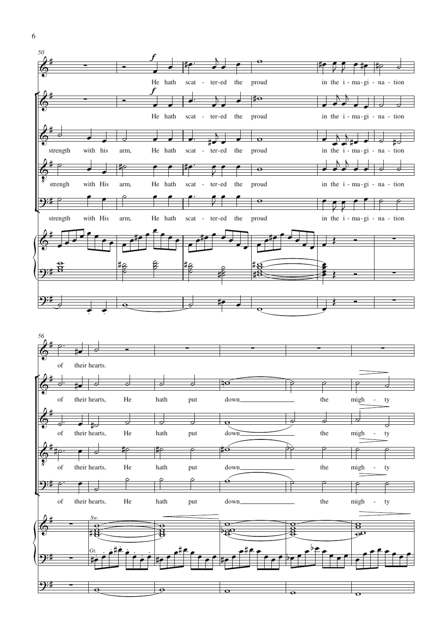

6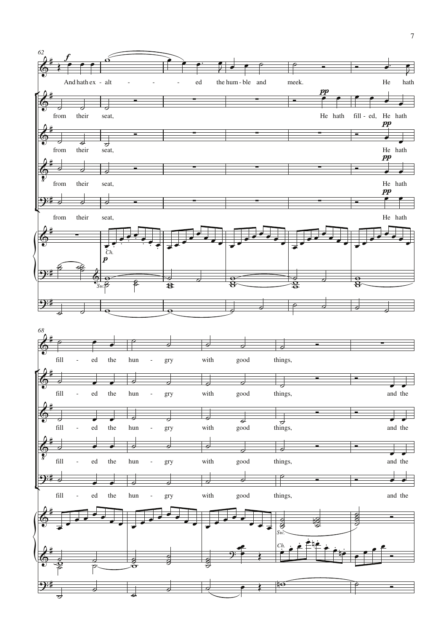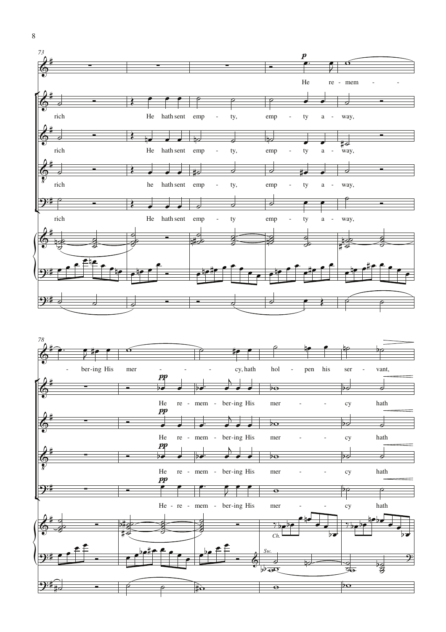

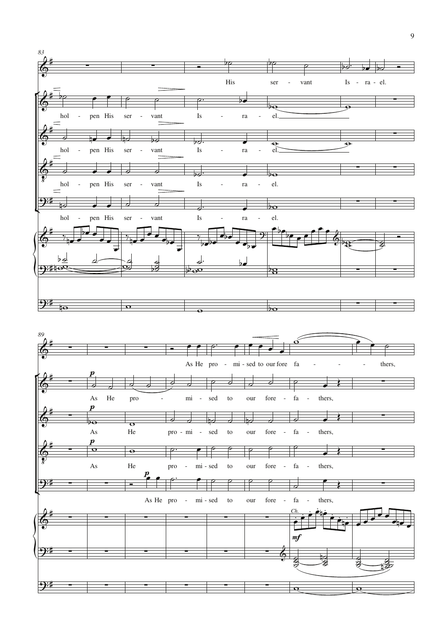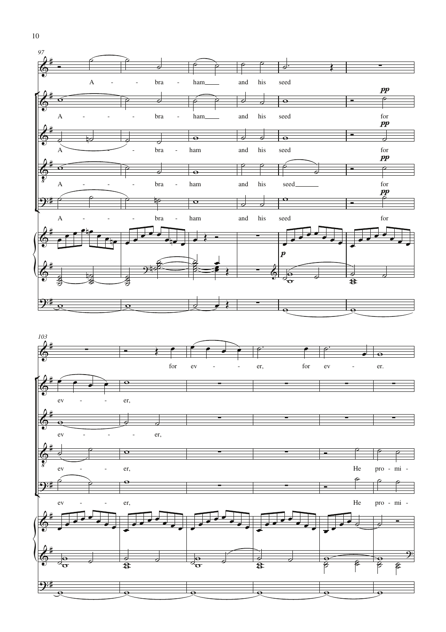

 $10\,$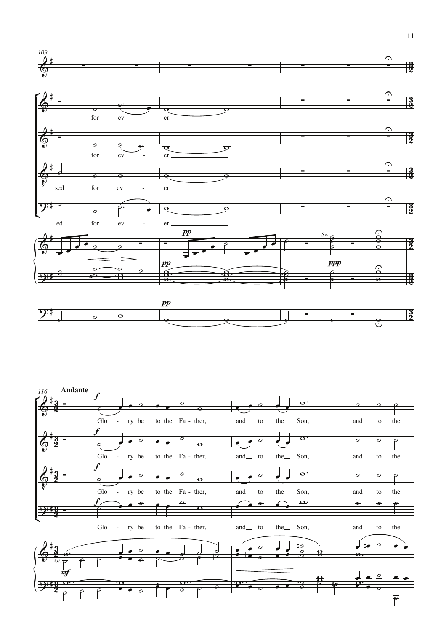